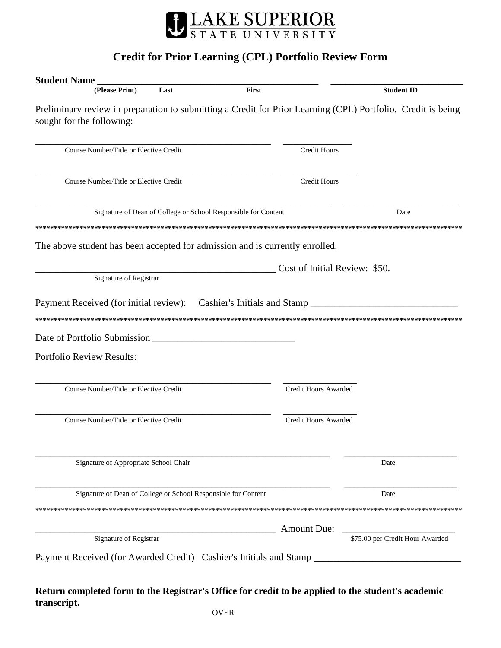

## **Credit for Prior Learning (CPL) Portfolio Review Form**

| <b>Student Name</b>                                                                                                                       |                               |                                 |
|-------------------------------------------------------------------------------------------------------------------------------------------|-------------------------------|---------------------------------|
| Last<br>First<br>(Please Print)                                                                                                           |                               | <b>Student ID</b>               |
| Preliminary review in preparation to submitting a Credit for Prior Learning (CPL) Portfolio. Credit is being<br>sought for the following: |                               |                                 |
| Course Number/Title or Elective Credit                                                                                                    | Credit Hours                  |                                 |
| Course Number/Title or Elective Credit                                                                                                    | Credit Hours                  |                                 |
| Signature of Dean of College or School Responsible for Content                                                                            |                               | Date                            |
|                                                                                                                                           |                               |                                 |
| The above student has been accepted for admission and is currently enrolled.                                                              |                               |                                 |
|                                                                                                                                           | Cost of Initial Review: \$50. |                                 |
| Signature of Registrar                                                                                                                    |                               |                                 |
|                                                                                                                                           |                               |                                 |
|                                                                                                                                           |                               |                                 |
| <b>Portfolio Review Results:</b>                                                                                                          |                               |                                 |
| Course Number/Title or Elective Credit                                                                                                    | Credit Hours Awarded          |                                 |
| Course Number/Title or Elective Credit                                                                                                    | <b>Credit Hours Awarded</b>   |                                 |
| Signature of Appropriate School Chair                                                                                                     |                               | Date                            |
| Signature of Dean of College or School Responsible for Content                                                                            |                               | Date                            |
|                                                                                                                                           |                               |                                 |
|                                                                                                                                           | <b>Amount Due:</b>            |                                 |
| Signature of Registrar                                                                                                                    |                               | \$75.00 per Credit Hour Awarded |
|                                                                                                                                           |                               |                                 |
|                                                                                                                                           |                               |                                 |

**Return completed form to the Registrar's Office for credit to be applied to the student's academic transcript.**